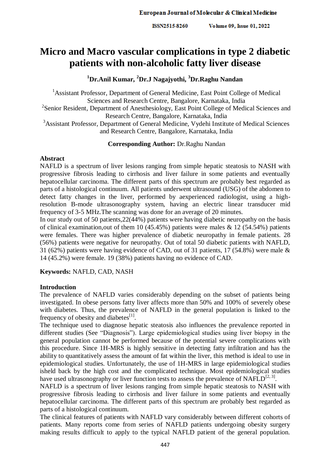# **Micro and Macro vascular complications in type 2 diabetic patients with non-alcoholic fatty liver disease**

# **<sup>1</sup>Dr.Anil Kumar, <sup>2</sup>Dr.J Nagajyothi, <sup>3</sup>Dr.Raghu Nandan**

<sup>1</sup> Assistant Professor, Department of General Medicine, East Point College of Medical Sciences and Research Centre, Bangalore, Karnataka, India <sup>2</sup>Senior Resident, Department of Anesthesiology, East Point College of Medical Sciences and Research Centre, Bangalore, Karnataka, India <sup>3</sup>Assistant Professor, Department of General Medicine, Vydehi Institute of Medical Sciences and Research Centre, Bangalore, Karnataka, India

#### **Corresponding Author:** Dr.Raghu Nandan

### **Abstract**

NAFLD is a spectrum of liver lesions ranging from simple hepatic steatosis to NASH with progressive fibrosis leading to cirrhosis and liver failure in some patients and eventually hepatocellular carcinoma. The different parts of this spectrum are probably best regarded as parts of a histological continuum. All patients underwent ultrasound (USG) of the abdomen to detect fatty changes in the liver, performed by aexperienced radiologist, using a highresolution B-mode ultrasonography system, having an electric linear transducer mid frequency of 3-5 MHz.The scanning was done for an average of 20 minutes.

In our study out of 50 patients,22(44%) patients were having diabetic neuropathy on the basis of clinical examination, out of them 10 (45.45%) patients were males  $\&$  12 (54.54%) patients were females. There was higher prevalence of diabetic neuropathy in female patients. 28 (56%) patients were negative for neuropathy. Out of total 50 diabetic patients with NAFLD, 31 (62%) patients were having evidence of CAD, out of 31 patients, 17 (54.8%) were male & 14 (45.2%) were female. 19 (38%) patients having no evidence of CAD.

**Keywords:** NAFLD, CAD, NASH

### **Introduction**

The prevalence of NAFLD varies considerably depending on the subset of patients being investigated. In obese persons fatty liver affects more than 50% and 100% of severely obese with diabetes. Thus, the prevalence of NAFLD in the general population is linked to the frequency of obesity and diabetes $^{[1]}$ .

The technique used to diagnose hepatic steatosis also influences the prevalence reported in different studies (See "Diagnosis"). Large epidemiological studies using liver biopsy in the general population cannot be performed because of the potential severe complications with this procedure. Since 1H-MRS is highly sensitive in detecting fatty infiltration and has the ability to quantitatively assess the amount of fat within the liver, this method is ideal to use in epidemiological studies. Unfortunately, the use of 1H-MRS in large epidemiological studies isheld back by the high cost and the complicated technique. Most epidemiological studies have used ultrasonography or liver function tests to assess the prevalence of NAFLD<sup>[2, 3]</sup>.

NAFLD is a spectrum of liver lesions ranging from simple hepatic steatosis to NASH with progressive fibrosis leading to cirrhosis and liver failure in some patients and eventually hepatocellular carcinoma. The different parts of this spectrum are probably best regarded as parts of a histological continuum.

The clinical features of patients with NAFLD vary considerably between different cohorts of patients. Many reports come from series of NAFLD patients undergoing obesity surgery making results difficult to apply to the typical NAFLD patient of the general population.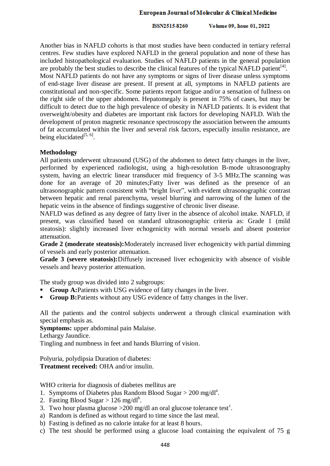#### European Journal of Molecular & Clinical Medicine

#### ISSN2515-8260 Volume 09, Issue 01, 2022

Another bias in NAFLD cohorts is that most studies have been conducted in tertiary referral centres. Few studies have explored NAFLD in the general population and none of these has included histopathological evaluation. Studies of NAFLD patients in the general population are probably the best studies to describe the clinical features of the typical NAFLD patient<sup>[4]</sup>. Most NAFLD patients do not have any symptoms or signs of liver disease unless symptoms of end-stage liver disease are present. If present at all, symptoms in NAFLD patients are constitutional and non-specific. Some patients report fatigue and/or a sensation of fullness on the right side of the upper abdomen. Hepatomegaly is present in 75% of cases, but may be difficult to detect due to the high prevalence of obesity in NAFLD patients. It is evident that overweight/obesity and diabetes are important risk factors for developing NAFLD. With the development of proton magnetic resonance spectroscopy the association between the amounts of fat accumulated within the liver and several risk factors, especially insulin resistance, are being elucidated<sup>[5, 6]</sup>.

### **Methodology**

All patients underwent ultrasound (USG) of the abdomen to detect fatty changes in the liver, performed by experienced radiologist, using a high-resolution B-mode ultrasonography system, having an electric linear transducer mid frequency of 3-5 MHz.The scanning was done for an average of 20 minutes;Fatty liver was defined as the presence of an ultrasonographic pattern consistent with "bright liver", with evident ultrasonographic contrast between hepatic and renal parenchyma, vessel blurring and narrowing of the lumen of the hepatic veins in the absence of findings suggestive of chronic liver disease.

NAFLD was defined as any degree of fatty liver in the absence of alcohol intake. NAFLD, if present, was classified based on standard ultrasonographic criteria as: Grade 1 (mild steatosis): slightly increased liver echogenicity with normal vessels and absent posterior attenuation.

**Grade 2 (moderate steatosis):**Moderately increased liver echogenicity with partial dimming of vessels and early posterior attenuation.

**Grade 3 (severe steatosis):**Diffusely increased liver echogenicity with absence of visible vessels and heavy posterior attenuation.

The study group was divided into 2 subgroups:

- **Group A:**Patients with USG evidence of fatty changes in the liver.
- **Group B:**Patients without any USG evidence of fatty changes in the liver.

All the patients and the control subjects underwent a through clinical examination with special emphasis as.

**Symptoms:** upper abdominal pain Malaise.

Lethargy Jaundice.

Tingling and numbness in feet and hands Blurring of vision.

Polyuria, polydipsia Duration of diabetes: **Treatment received:** OHA and/or insulin.

WHO criteria for diagnosis of diabetes mellitus are

- 1. Symptoms of Diabetes plus Random Blood Sugar > 200 mg/dl<sup>a</sup>.
- 2. Fasting Blood Sugar >  $126 \text{ mg/dl}^b$ .
- 3. Two hour plasma glucose  $>200$  mg/dl an oral glucose tolerance test<sup>c</sup>.
- a) Random is defined as without regard to time since the last meal.
- b) Fasting is defined as no calorie intake for at least 8 hours.
- c) The test should be performed using a glucose load containing the equivalent of 75 g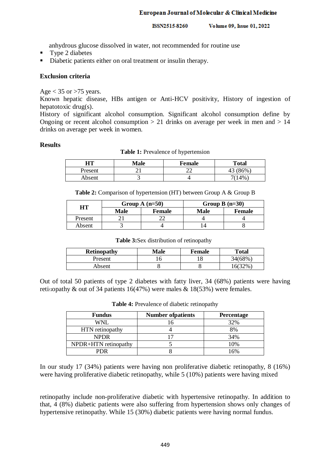anhydrous glucose dissolved in water, not recommended for routine use

- Type 2 diabetes
- Diabetic patients either on oral treatment or insulin therapy.

## **Exclusion criteria**

Age  $<$  35 or  $>$ 75 years.

Known hepatic disease, HBs antigen or Anti-HCV positivity, History of ingestion of hepatotoxic drug(s).

History of significant alcohol consumption. Significant alcohol consumption define by Ongoing or recent alcohol consumption  $> 21$  drinks on average per week in men and  $> 14$ drinks on average per week in women.

# **Results**

| <b>Table 1:</b> Prevalence of hypertension |  |
|--------------------------------------------|--|
|--------------------------------------------|--|

| HТ      | Male | <b>Female</b> | <b>Total</b> |
|---------|------|---------------|--------------|
| Present |      | n n<br>∸      | 86%<br>43    |
| Absent  |      |               | 4%           |

**Table 2:** Comparison of hypertension (HT) between Group A & Group B

| HT      |             | Group A $(n=50)$ | Group B $(n=30)$ |               |
|---------|-------------|------------------|------------------|---------------|
|         | <b>Male</b> | <b>Female</b>    | <b>Male</b>      | <b>Female</b> |
| Present |             |                  |                  |               |
| Absent  |             |                  |                  |               |

**Table 3:**Sex distribution of retinopathy

| <b>Retinopathy</b> | Male | Female | Total   |
|--------------------|------|--------|---------|
| Present            |      | 1 O    | 34(68%) |
| Absent             |      |        | 16(32%) |

Out of total 50 patients of type 2 diabetes with fatty liver, 34 (68%) patients were having retinopathy & out of 34 patients 16(47%) were males & 18(53%) were females.

| <b>Fundus</b>                                                                                                                                                                   | <b>Number of patients</b> | Percentage |
|---------------------------------------------------------------------------------------------------------------------------------------------------------------------------------|---------------------------|------------|
| WNL                                                                                                                                                                             | 16                        | 32%        |
| HTN retinopathy                                                                                                                                                                 | 4                         | 8%         |
| <b>NPDR</b>                                                                                                                                                                     | 17                        | 34%        |
| NPDR+HTN retinopathy                                                                                                                                                            | 5                         | 10%        |
| <b>PDR</b>                                                                                                                                                                      | 8                         | 16%        |
| In our study 17 (34%) patients were having non proliferative diabetic retinopathy, 8<br>were having proliferative diabetic retinopathy, while 5 (10%) patients were having mixe |                           |            |

**Table 4:** Prevalence of diabetic retinopathy

In our study 17 (34%) patients were having non proliferative diabetic retinopathy, 8 (16%) were having proliferative diabetic retinopathy, while 5 (10%) patients were having mixed

retinopathy include non-proliferative diabetic with hypertensive retinopathy. In addition to that, 4 (8%) diabetic patients were also suffering from hypertension shows only changes of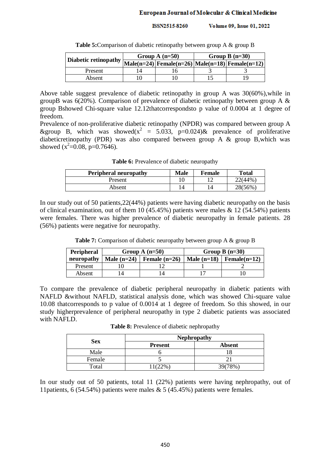| Diabetic retinopathy | Group A $(n=50)$ | Group B $(n=30)$ |                                                                       |
|----------------------|------------------|------------------|-----------------------------------------------------------------------|
|                      |                  |                  | $ \text{Male}(n=24) $ Female(n=26) $ \text{Male}(n=18) $ Female(n=12) |
| Present              |                  |                  |                                                                       |
| Absent               |                  |                  |                                                                       |

**Table 5:**Comparison of diabetic retinopathy between group A & group B

Above table suggest prevalence of diabetic retinopathy in group A was 30(60%),while in groupB was  $6(20\%)$ . Comparison of prevalence of diabetic retinopathy between group A  $\&$ group Bshowed Chi-square value 12.12thatcorrespondsto p value of 0.0004 at 1 degree of freedom.

Prevalence of non-proliferative diabetic retinopathy (NPDR) was compared between group A &group B, which was showed( $x^2 = 5.033$ , p=0.024)& prevalence of proliferative diabeticretinopathy (PDR) was also compared between group A & group B,which was showed  $(x^2=0.08, p=0.7646)$ .

**Table 6:** Prevalence of diabetic neuropathy

| <b>Peripheral neuropathy</b> | Male           | Female | <b>Total</b> |
|------------------------------|----------------|--------|--------------|
| Present                      |                | 1 ^    | $(44\%$      |
| Absent                       | $\overline{4}$ |        | 28(56%)      |

In our study out of 50 patients,22(44%) patients were having diabetic neuropathy on the basis of clinical examination, out of them 10 (45.45%) patients were males  $\&$  12 (54.54%) patients were females. There was higher prevalence of diabetic neuropathy in female patients. 28 (56%) patients were negative for neuropathy.

**Table 7:** Comparison of diabetic neuropathy between group A & group B

| Peripheral | Group A $(n=50)$ |                 | Group B $(n=30)$ |                               |
|------------|------------------|-----------------|------------------|-------------------------------|
| neuropathy | Male $(n=24)$    | Female $(n=26)$ |                  | Male $(n=18)$ Female $(n=12)$ |
| Present    |                  |                 |                  |                               |
| Absent     |                  |                 |                  |                               |

To compare the prevalence of diabetic peripheral neuropathy in diabetic patients with NAFLD &without NAFLD, statistical analysis done, which was showed Chi-square value 10.08 thatcorresponds to p value of 0.0014 at 1 degree of freedom. So this showed, in our study higherprevalence of peripheral neuropathy in type 2 diabetic patients was associated with NAFLD.

**Table 8:** Prevalence of diabetic nephropathy

|            | <b>Nephropathy</b> |               |  |
|------------|--------------------|---------------|--|
| <b>Sex</b> | <b>Present</b>     | <b>Absent</b> |  |
| Male       |                    |               |  |
| Female     |                    |               |  |
| Total      | 11(22%)            | 39(78%)       |  |

In our study out of 50 patients, total 11 (22%) patients were having nephropathy, out of 11patients, 6 (54.54%) patients were males & 5 (45.45%) patients were females.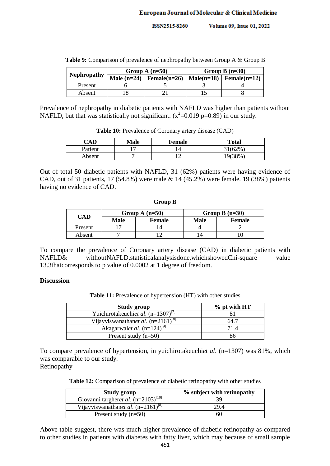Volume 09, Issue 01, 2022 ISSN2515-8260

|                    | Group A $(n=50)$              | Group B $(n=30)$ |                           |
|--------------------|-------------------------------|------------------|---------------------------|
| <b>Nephropathy</b> | Male $(n=24)$ Female $(n=26)$ |                  | $Male(n=18)$ Female(n=12) |
| Present            |                               |                  |                           |
| Absent             |                               |                  |                           |

**Table 9:** Comparison of prevalence of nephropathy between Group A & Group B

Prevalence of nephropathy in diabetic patients with NAFLD was higher than patients without NAFLD, but that was statistically not significant.  $(x^2=0.019 \text{ p} = 0.89)$  in our study.

| CAD     | <b>Male</b> | Female | <b>Total</b> |
|---------|-------------|--------|--------------|
| Patient |             | 4      | 31(62%       |
| Absent  |             |        | 19(38%       |

**Table 10:** Prevalence of Coronary artery disease (CAD)

Out of total 50 diabetic patients with NAFLD, 31 (62%) patients were having evidence of CAD, out of 31 patients, 17 (54.8%) were male & 14 (45.2%) were female. 19 (38%) patients having no evidence of CAD.

#### **Group B**

| CAD     |             | Group A $(n=50)$ | Group B $(n=30)$ |        |
|---------|-------------|------------------|------------------|--------|
|         | <b>Male</b> | <b>Female</b>    | Male             | Female |
| Present |             |                  |                  |        |
| Absent  |             |                  |                  |        |

To compare the prevalence of Coronary artery disease (CAD) in diabetic patients with NAFLD& withoutNAFLD, statistical analysisdone, which showed Chi-square value 13.3thatcorresponds to p value of 0.0002 at 1 degree of freedom.

### **Discussion**

**Table 11:** Prevalence of hypertension (HT) with other studies

| Study group                             | $%$ pt with HT |  |
|-----------------------------------------|----------------|--|
| Yuichirotakeuchiet al. $(n=1307)^{[7]}$ |                |  |
| Vijayviswanathanet al. $(n=2161)^{81}$  | 64.1           |  |
| Akagarwalet al. $(n=124)^{9}$           | 71.4           |  |
| Present study $(n=50)$                  |                |  |

To compare prevalence of hypertension, in yuichirotakeuchi*et al*. (n=1307) was 81%, which was comparable to our study. Retinopathy

**Table 12:** Comparison of prevalence of diabetic retinopathy with other studies

| Study group                              | % subject with retinopathy |  |
|------------------------------------------|----------------------------|--|
| Giovanni targheret al. $(n=2103)^{[10]}$ |                            |  |
| Vijayviswanathanet al. $(n=2161)^{8}$    | 29.4                       |  |
| Present study $(n=50)$                   | ыı                         |  |

Above table suggest, there was much higher prevalence of diabetic retinopathy as compared to other studies in patients with diabetes with fatty liver, which may because of small sample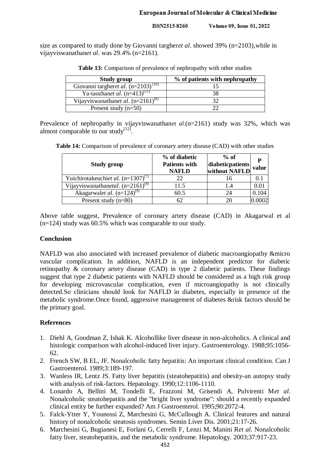size as compared to study done by Giovanni targher*et al*. showed 39% (n=2103),while in vijayviswanathan*et al*. was 29.4% (n=2161).

| <b>Study group</b>                                  | % of patients with nephropathy |  |
|-----------------------------------------------------|--------------------------------|--|
| Giovanni targheret al. $(n=2\overline{103})^{[10]}$ |                                |  |
| Ya-taozhanet al. $(n=413)^{[11]}$                   |                                |  |
| Vijayviswanathanet al. $(n=2161)^{[8]}$             |                                |  |
| Present study $(n=50)$                              |                                |  |

Table 13: Comparison of prevalence of nephropathy with other studies

Prevalence of nephropathy in vijayviswanathan*et al*.(n=2161) study was 32%, which was almost comparable to our study $[12]$ .

**Table 14:** Comparison of prevalence of coronary artery disease (CAD) with other studies

| Study group                           | % of diabetic<br><b>Patients with</b><br><b>NAFLD</b> | $%$ of<br>diabeticpatients<br>without NAFLD | P<br>value |
|---------------------------------------|-------------------------------------------------------|---------------------------------------------|------------|
| Yuichirotakeuchiet al. $(n=1307)^{7}$ | 22                                                    | 16                                          |            |
| Vijayviswanathanetal. $(n=2161)^{81}$ | 11.5                                                  | 1.4                                         | 0.01       |
| Akagarwalet al. $(n=124)^{9}$         | 60.5                                                  | 24                                          | 0.104      |
| Present study $(n=80)$                | 62                                                    | 20                                          |            |

Above table suggest, Prevalence of coronary artery disease (CAD) in Akagarwal et al (n=124) study was 60.5% which was comparable to our study.

### **Conclusion**

NAFLD was also associated with increased prevalence of diabetic macroangiopathy &micro vascular complication. In addition, NAFLD is an independent predictor for diabetic retinopathy & coronary artery disease (CAD) in type 2 diabetic patients. These findings suggest that type 2 diabetic patients with NAFLD should be considered as a high risk group for developing microvascular complication, even if microangiopathy is not clinically detected.So clinicians should look for NAFLD in diabetes, especially in presence of the metabolic syndrome.Once found, aggressive management of diabetes &risk factors should be the primary goal.

# **References**

- 1. Diehl A, Goodman Z, Ishak K. Alcohollike liver disease in non-alcoholics. A clinical and histologic comparison with alcohol-induced liver injury. Gastroenterology. 1988;95:1056- 62.
- 2. French SW, B EL, JF. Nonalcoholic fatty hepatitis: An important clinical condition. Can J Gastroenterol. 1989;3:189-197.
- 3. Wanless IR, Lentz JS. Fatty liver hepatitis (steatohepatitis) and obesity-an autopsy study with analysis of risk-factors. Hepatology. 1990;12:1106-1110.
- 4. Lonardo A, Bellini M, Tondelli E, Frazzoni M, Grisendi A, Pulvirenti M*et al*. Nonalcoholic steatohepatitis and the "bright liver syndrome": should a recently expanded clinical entity be further expanded? Am J Gastroenterol. 1995;90:2072-4.
- 5. Falck-Ytter Y, Younossi Z, Marchesini G, McCullough A. Clinical features and natural history of nonalcoholic steatosis syndromes. Semin Liver Dis. 2001;21:17-26.
- 6. Marchesini G, Bugianesi E, Forlani G, Cerrelli F, Lenzi M, Manini R*et al*. Nonalcoholic fatty liver, steatohepatitis, and the metabolic syndrome. Hepatology. 2003;37:917-23.